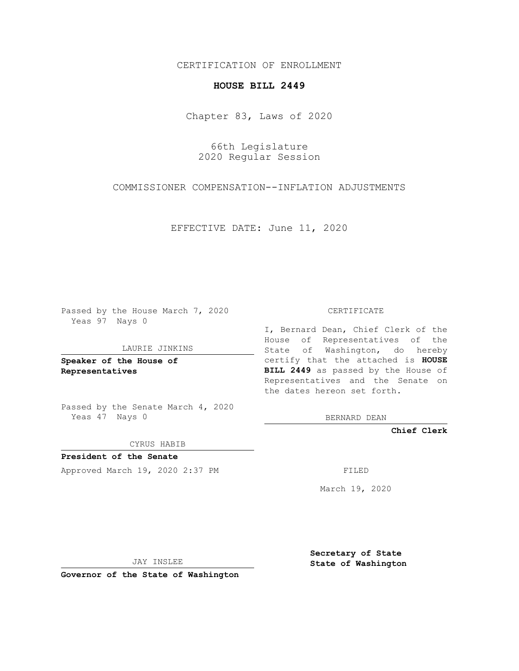### CERTIFICATION OF ENROLLMENT

## **HOUSE BILL 2449**

Chapter 83, Laws of 2020

66th Legislature 2020 Regular Session

COMMISSIONER COMPENSATION--INFLATION ADJUSTMENTS

EFFECTIVE DATE: June 11, 2020

Passed by the House March 7, 2020 Yeas 97 Nays 0

#### LAURIE JINKINS

**Speaker of the House of Representatives**

Passed by the Senate March 4, 2020 Yeas 47 Nays 0

CYRUS HABIB

**President of the Senate** Approved March 19, 2020 2:37 PM FILED

CERTIFICATE

I, Bernard Dean, Chief Clerk of the House of Representatives of the State of Washington, do hereby certify that the attached is **HOUSE BILL 2449** as passed by the House of Representatives and the Senate on the dates hereon set forth.

BERNARD DEAN

**Chief Clerk**

March 19, 2020

JAY INSLEE

**Governor of the State of Washington**

**Secretary of State State of Washington**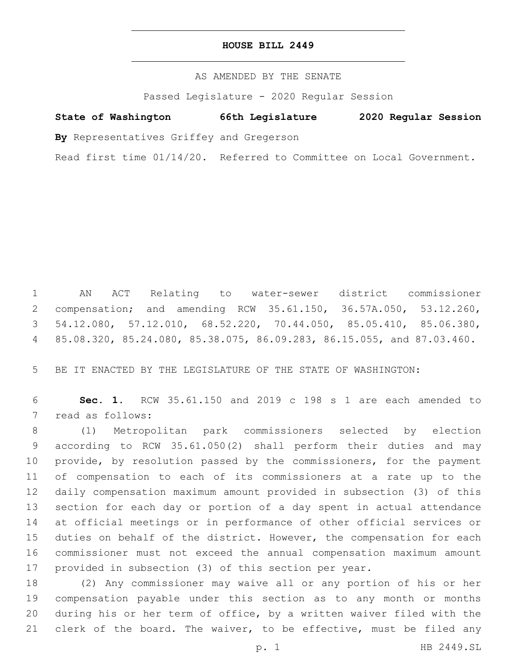### **HOUSE BILL 2449**

AS AMENDED BY THE SENATE

Passed Legislature - 2020 Regular Session

# **State of Washington 66th Legislature 2020 Regular Session**

**By** Representatives Griffey and Gregerson

Read first time 01/14/20. Referred to Committee on Local Government.

 AN ACT Relating to water-sewer district commissioner compensation; and amending RCW 35.61.150, 36.57A.050, 53.12.260, 54.12.080, 57.12.010, 68.52.220, 70.44.050, 85.05.410, 85.06.380, 85.08.320, 85.24.080, 85.38.075, 86.09.283, 86.15.055, and 87.03.460.

BE IT ENACTED BY THE LEGISLATURE OF THE STATE OF WASHINGTON:

 **Sec. 1.** RCW 35.61.150 and 2019 c 198 s 1 are each amended to 7 read as follows:

 (1) Metropolitan park commissioners selected by election according to RCW 35.61.050(2) shall perform their duties and may provide, by resolution passed by the commissioners, for the payment of compensation to each of its commissioners at a rate up to the daily compensation maximum amount provided in subsection (3) of this section for each day or portion of a day spent in actual attendance at official meetings or in performance of other official services or duties on behalf of the district. However, the compensation for each commissioner must not exceed the annual compensation maximum amount provided in subsection (3) of this section per year.

 (2) Any commissioner may waive all or any portion of his or her compensation payable under this section as to any month or months during his or her term of office, by a written waiver filed with the 21 clerk of the board. The waiver, to be effective, must be filed any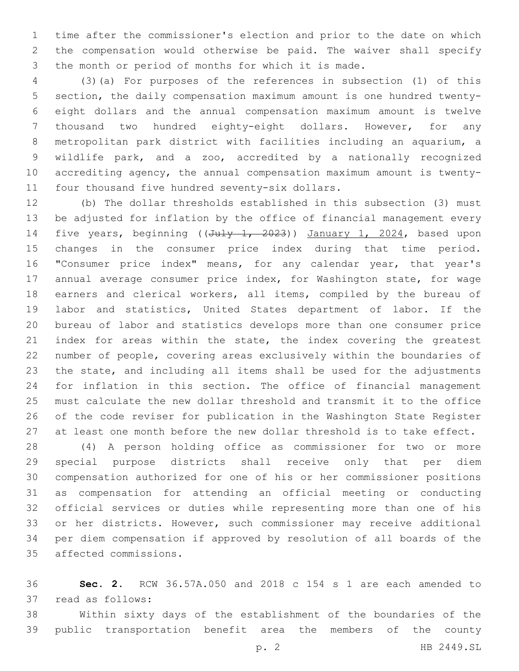time after the commissioner's election and prior to the date on which the compensation would otherwise be paid. The waiver shall specify the month or period of months for which it is made.

 (3)(a) For purposes of the references in subsection (1) of this section, the daily compensation maximum amount is one hundred twenty- eight dollars and the annual compensation maximum amount is twelve thousand two hundred eighty-eight dollars. However, for any metropolitan park district with facilities including an aquarium, a wildlife park, and a zoo, accredited by a nationally recognized accrediting agency, the annual compensation maximum amount is twenty-11 four thousand five hundred seventy-six dollars.

 (b) The dollar thresholds established in this subsection (3) must be adjusted for inflation by the office of financial management every 14 five years, beginning ((July 1, 2023)) January 1, 2024, based upon changes in the consumer price index during that time period. "Consumer price index" means, for any calendar year, that year's annual average consumer price index, for Washington state, for wage earners and clerical workers, all items, compiled by the bureau of labor and statistics, United States department of labor. If the bureau of labor and statistics develops more than one consumer price 21 index for areas within the state, the index covering the greatest number of people, covering areas exclusively within the boundaries of the state, and including all items shall be used for the adjustments for inflation in this section. The office of financial management must calculate the new dollar threshold and transmit it to the office of the code reviser for publication in the Washington State Register at least one month before the new dollar threshold is to take effect.

 (4) A person holding office as commissioner for two or more special purpose districts shall receive only that per diem compensation authorized for one of his or her commissioner positions as compensation for attending an official meeting or conducting official services or duties while representing more than one of his or her districts. However, such commissioner may receive additional per diem compensation if approved by resolution of all boards of the affected commissions.35

 **Sec. 2.** RCW 36.57A.050 and 2018 c 154 s 1 are each amended to 37 read as follows:

 Within sixty days of the establishment of the boundaries of the public transportation benefit area the members of the county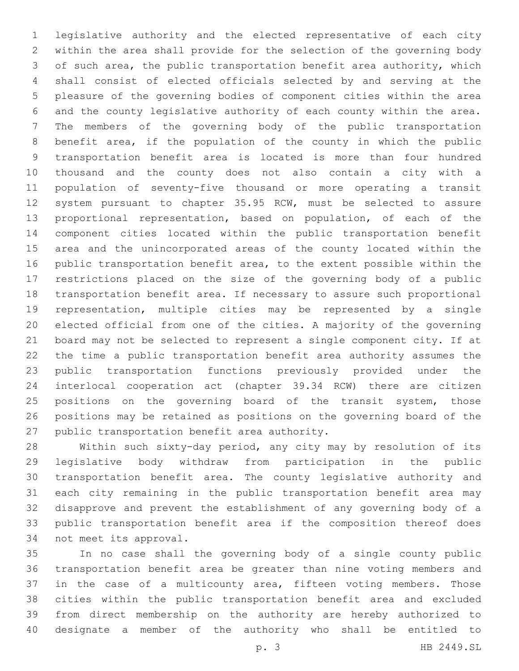legislative authority and the elected representative of each city within the area shall provide for the selection of the governing body of such area, the public transportation benefit area authority, which shall consist of elected officials selected by and serving at the pleasure of the governing bodies of component cities within the area and the county legislative authority of each county within the area. The members of the governing body of the public transportation benefit area, if the population of the county in which the public transportation benefit area is located is more than four hundred thousand and the county does not also contain a city with a population of seventy-five thousand or more operating a transit system pursuant to chapter 35.95 RCW, must be selected to assure proportional representation, based on population, of each of the component cities located within the public transportation benefit area and the unincorporated areas of the county located within the public transportation benefit area, to the extent possible within the restrictions placed on the size of the governing body of a public transportation benefit area. If necessary to assure such proportional representation, multiple cities may be represented by a single elected official from one of the cities. A majority of the governing board may not be selected to represent a single component city. If at the time a public transportation benefit area authority assumes the public transportation functions previously provided under the interlocal cooperation act (chapter 39.34 RCW) there are citizen 25 positions on the governing board of the transit system, those positions may be retained as positions on the governing board of the 27 public transportation benefit area authority.

 Within such sixty-day period, any city may by resolution of its legislative body withdraw from participation in the public transportation benefit area. The county legislative authority and each city remaining in the public transportation benefit area may disapprove and prevent the establishment of any governing body of a public transportation benefit area if the composition thereof does 34 not meet its approval.

 In no case shall the governing body of a single county public transportation benefit area be greater than nine voting members and 37 in the case of a multicounty area, fifteen voting members. Those cities within the public transportation benefit area and excluded from direct membership on the authority are hereby authorized to designate a member of the authority who shall be entitled to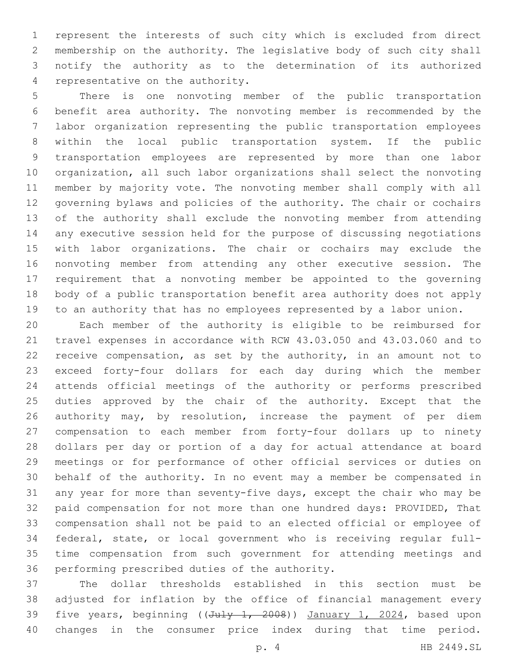represent the interests of such city which is excluded from direct membership on the authority. The legislative body of such city shall notify the authority as to the determination of its authorized 4 representative on the authority.

 There is one nonvoting member of the public transportation benefit area authority. The nonvoting member is recommended by the labor organization representing the public transportation employees within the local public transportation system. If the public transportation employees are represented by more than one labor organization, all such labor organizations shall select the nonvoting member by majority vote. The nonvoting member shall comply with all governing bylaws and policies of the authority. The chair or cochairs of the authority shall exclude the nonvoting member from attending any executive session held for the purpose of discussing negotiations with labor organizations. The chair or cochairs may exclude the nonvoting member from attending any other executive session. The requirement that a nonvoting member be appointed to the governing body of a public transportation benefit area authority does not apply to an authority that has no employees represented by a labor union.

 Each member of the authority is eligible to be reimbursed for travel expenses in accordance with RCW 43.03.050 and 43.03.060 and to receive compensation, as set by the authority, in an amount not to exceed forty-four dollars for each day during which the member attends official meetings of the authority or performs prescribed duties approved by the chair of the authority. Except that the 26 authority may, by resolution, increase the payment of per diem compensation to each member from forty-four dollars up to ninety dollars per day or portion of a day for actual attendance at board meetings or for performance of other official services or duties on behalf of the authority. In no event may a member be compensated in any year for more than seventy-five days, except the chair who may be paid compensation for not more than one hundred days: PROVIDED, That compensation shall not be paid to an elected official or employee of federal, state, or local government who is receiving regular full- time compensation from such government for attending meetings and 36 performing prescribed duties of the authority.

 The dollar thresholds established in this section must be adjusted for inflation by the office of financial management every 39 five years, beginning ((July 1, 2008)) January 1, 2024, based upon changes in the consumer price index during that time period.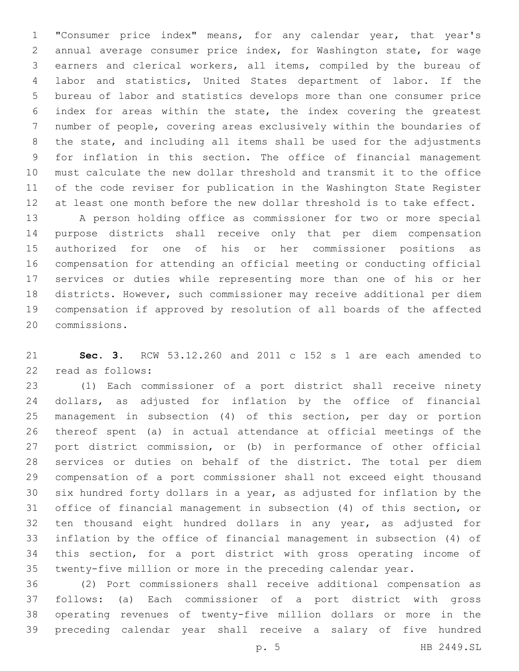"Consumer price index" means, for any calendar year, that year's annual average consumer price index, for Washington state, for wage earners and clerical workers, all items, compiled by the bureau of labor and statistics, United States department of labor. If the bureau of labor and statistics develops more than one consumer price index for areas within the state, the index covering the greatest number of people, covering areas exclusively within the boundaries of the state, and including all items shall be used for the adjustments for inflation in this section. The office of financial management must calculate the new dollar threshold and transmit it to the office of the code reviser for publication in the Washington State Register at least one month before the new dollar threshold is to take effect.

 A person holding office as commissioner for two or more special purpose districts shall receive only that per diem compensation authorized for one of his or her commissioner positions as compensation for attending an official meeting or conducting official services or duties while representing more than one of his or her districts. However, such commissioner may receive additional per diem compensation if approved by resolution of all boards of the affected commissions.20

 **Sec. 3.** RCW 53.12.260 and 2011 c 152 s 1 are each amended to 22 read as follows:

 (1) Each commissioner of a port district shall receive ninety dollars, as adjusted for inflation by the office of financial management in subsection (4) of this section, per day or portion thereof spent (a) in actual attendance at official meetings of the port district commission, or (b) in performance of other official services or duties on behalf of the district. The total per diem compensation of a port commissioner shall not exceed eight thousand six hundred forty dollars in a year, as adjusted for inflation by the office of financial management in subsection (4) of this section, or ten thousand eight hundred dollars in any year, as adjusted for inflation by the office of financial management in subsection (4) of this section, for a port district with gross operating income of twenty-five million or more in the preceding calendar year.

 (2) Port commissioners shall receive additional compensation as follows: (a) Each commissioner of a port district with gross operating revenues of twenty-five million dollars or more in the preceding calendar year shall receive a salary of five hundred

p. 5 HB 2449.SL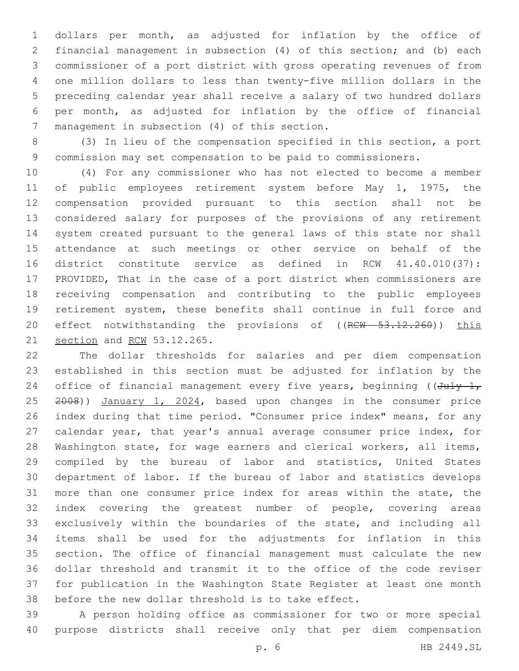dollars per month, as adjusted for inflation by the office of financial management in subsection (4) of this section; and (b) each commissioner of a port district with gross operating revenues of from one million dollars to less than twenty-five million dollars in the preceding calendar year shall receive a salary of two hundred dollars per month, as adjusted for inflation by the office of financial 7 management in subsection (4) of this section.

 (3) In lieu of the compensation specified in this section, a port commission may set compensation to be paid to commissioners.

 (4) For any commissioner who has not elected to become a member of public employees retirement system before May 1, 1975, the compensation provided pursuant to this section shall not be considered salary for purposes of the provisions of any retirement system created pursuant to the general laws of this state nor shall attendance at such meetings or other service on behalf of the district constitute service as defined in RCW 41.40.010(37): PROVIDED, That in the case of a port district when commissioners are receiving compensation and contributing to the public employees retirement system, these benefits shall continue in full force and 20 effect notwithstanding the provisions of ((RCW 53.12.260)) this 21 section and RCW 53.12.265.

 The dollar thresholds for salaries and per diem compensation established in this section must be adjusted for inflation by the 24 office of financial management every five years, beginning ( $(\text{July-1},$ 25 <del>2008</del>)) January 1, 2024, based upon changes in the consumer price index during that time period. "Consumer price index" means, for any calendar year, that year's annual average consumer price index, for 28 Washington state, for wage earners and clerical workers, all items, compiled by the bureau of labor and statistics, United States department of labor. If the bureau of labor and statistics develops more than one consumer price index for areas within the state, the index covering the greatest number of people, covering areas exclusively within the boundaries of the state, and including all items shall be used for the adjustments for inflation in this section. The office of financial management must calculate the new dollar threshold and transmit it to the office of the code reviser for publication in the Washington State Register at least one month before the new dollar threshold is to take effect.

 A person holding office as commissioner for two or more special purpose districts shall receive only that per diem compensation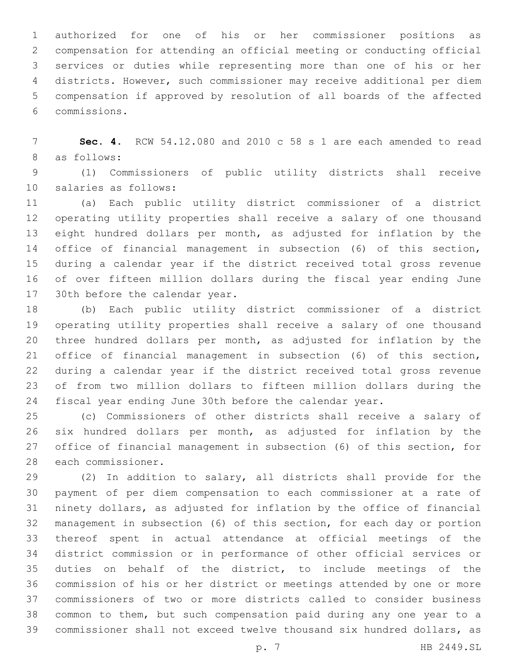authorized for one of his or her commissioner positions as compensation for attending an official meeting or conducting official services or duties while representing more than one of his or her districts. However, such commissioner may receive additional per diem compensation if approved by resolution of all boards of the affected commissions.6

 **Sec. 4.** RCW 54.12.080 and 2010 c 58 s 1 are each amended to read 8 as follows:

 (1) Commissioners of public utility districts shall receive 10 salaries as follows:

 (a) Each public utility district commissioner of a district operating utility properties shall receive a salary of one thousand eight hundred dollars per month, as adjusted for inflation by the office of financial management in subsection (6) of this section, during a calendar year if the district received total gross revenue of over fifteen million dollars during the fiscal year ending June 17 30th before the calendar year.

 (b) Each public utility district commissioner of a district operating utility properties shall receive a salary of one thousand three hundred dollars per month, as adjusted for inflation by the office of financial management in subsection (6) of this section, during a calendar year if the district received total gross revenue of from two million dollars to fifteen million dollars during the fiscal year ending June 30th before the calendar year.

 (c) Commissioners of other districts shall receive a salary of six hundred dollars per month, as adjusted for inflation by the office of financial management in subsection (6) of this section, for 28 each commissioner.

 (2) In addition to salary, all districts shall provide for the payment of per diem compensation to each commissioner at a rate of ninety dollars, as adjusted for inflation by the office of financial management in subsection (6) of this section, for each day or portion thereof spent in actual attendance at official meetings of the district commission or in performance of other official services or duties on behalf of the district, to include meetings of the commission of his or her district or meetings attended by one or more commissioners of two or more districts called to consider business common to them, but such compensation paid during any one year to a commissioner shall not exceed twelve thousand six hundred dollars, as

p. 7 HB 2449.SL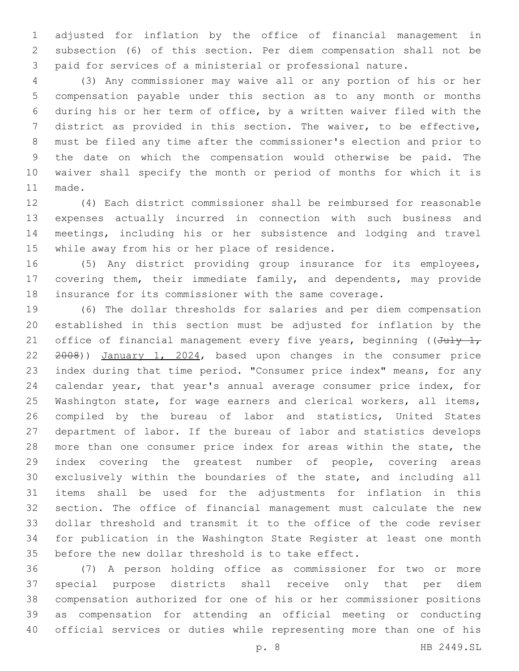adjusted for inflation by the office of financial management in subsection (6) of this section. Per diem compensation shall not be paid for services of a ministerial or professional nature.

 (3) Any commissioner may waive all or any portion of his or her compensation payable under this section as to any month or months during his or her term of office, by a written waiver filed with the district as provided in this section. The waiver, to be effective, must be filed any time after the commissioner's election and prior to the date on which the compensation would otherwise be paid. The waiver shall specify the month or period of months for which it is 11 made.

 (4) Each district commissioner shall be reimbursed for reasonable expenses actually incurred in connection with such business and meetings, including his or her subsistence and lodging and travel 15 while away from his or her place of residence.

 (5) Any district providing group insurance for its employees, covering them, their immediate family, and dependents, may provide insurance for its commissioner with the same coverage.

 (6) The dollar thresholds for salaries and per diem compensation established in this section must be adjusted for inflation by the 21 office of financial management every five years, beginning ( $(\text{July-1},$  2008)) January 1, 2024, based upon changes in the consumer price index during that time period. "Consumer price index" means, for any calendar year, that year's annual average consumer price index, for Washington state, for wage earners and clerical workers, all items, compiled by the bureau of labor and statistics, United States department of labor. If the bureau of labor and statistics develops more than one consumer price index for areas within the state, the index covering the greatest number of people, covering areas exclusively within the boundaries of the state, and including all items shall be used for the adjustments for inflation in this section. The office of financial management must calculate the new dollar threshold and transmit it to the office of the code reviser for publication in the Washington State Register at least one month before the new dollar threshold is to take effect.

 (7) A person holding office as commissioner for two or more special purpose districts shall receive only that per diem compensation authorized for one of his or her commissioner positions as compensation for attending an official meeting or conducting official services or duties while representing more than one of his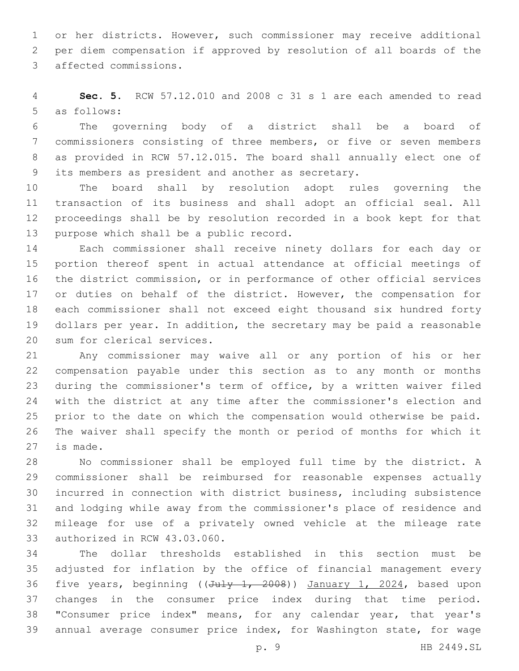or her districts. However, such commissioner may receive additional per diem compensation if approved by resolution of all boards of the 3 affected commissions.

 **Sec. 5.** RCW 57.12.010 and 2008 c 31 s 1 are each amended to read 5 as follows:

 The governing body of a district shall be a board of commissioners consisting of three members, or five or seven members as provided in RCW 57.12.015. The board shall annually elect one of 9 its members as president and another as secretary.

 The board shall by resolution adopt rules governing the transaction of its business and shall adopt an official seal. All proceedings shall be by resolution recorded in a book kept for that 13 purpose which shall be a public record.

 Each commissioner shall receive ninety dollars for each day or portion thereof spent in actual attendance at official meetings of the district commission, or in performance of other official services or duties on behalf of the district. However, the compensation for each commissioner shall not exceed eight thousand six hundred forty dollars per year. In addition, the secretary may be paid a reasonable 20 sum for clerical services.

 Any commissioner may waive all or any portion of his or her compensation payable under this section as to any month or months during the commissioner's term of office, by a written waiver filed with the district at any time after the commissioner's election and prior to the date on which the compensation would otherwise be paid. The waiver shall specify the month or period of months for which it 27 is made.

 No commissioner shall be employed full time by the district. A commissioner shall be reimbursed for reasonable expenses actually incurred in connection with district business, including subsistence and lodging while away from the commissioner's place of residence and mileage for use of a privately owned vehicle at the mileage rate 33 authorized in RCW 43.03.060.

 The dollar thresholds established in this section must be adjusted for inflation by the office of financial management every 36 five years, beginning ((July 1, 2008)) January 1, 2024, based upon changes in the consumer price index during that time period. "Consumer price index" means, for any calendar year, that year's annual average consumer price index, for Washington state, for wage

p. 9 HB 2449.SL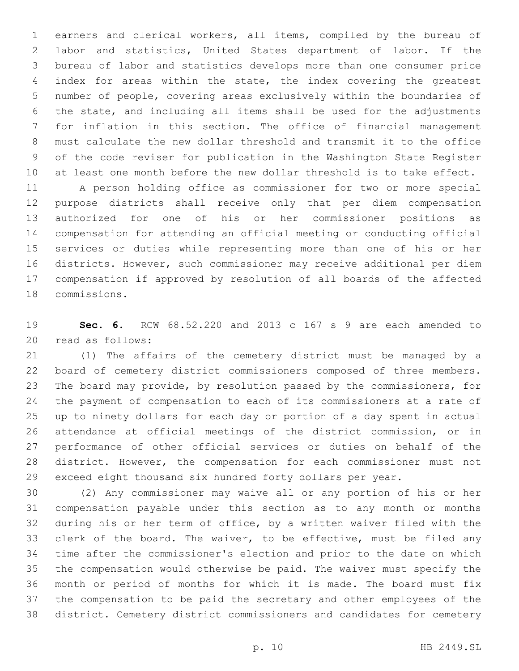earners and clerical workers, all items, compiled by the bureau of labor and statistics, United States department of labor. If the bureau of labor and statistics develops more than one consumer price index for areas within the state, the index covering the greatest number of people, covering areas exclusively within the boundaries of the state, and including all items shall be used for the adjustments for inflation in this section. The office of financial management must calculate the new dollar threshold and transmit it to the office of the code reviser for publication in the Washington State Register at least one month before the new dollar threshold is to take effect.

 A person holding office as commissioner for two or more special purpose districts shall receive only that per diem compensation authorized for one of his or her commissioner positions as compensation for attending an official meeting or conducting official services or duties while representing more than one of his or her districts. However, such commissioner may receive additional per diem compensation if approved by resolution of all boards of the affected 18 commissions.

 **Sec. 6.** RCW 68.52.220 and 2013 c 167 s 9 are each amended to 20 read as follows:

 (1) The affairs of the cemetery district must be managed by a board of cemetery district commissioners composed of three members. The board may provide, by resolution passed by the commissioners, for the payment of compensation to each of its commissioners at a rate of up to ninety dollars for each day or portion of a day spent in actual attendance at official meetings of the district commission, or in performance of other official services or duties on behalf of the district. However, the compensation for each commissioner must not exceed eight thousand six hundred forty dollars per year.

 (2) Any commissioner may waive all or any portion of his or her compensation payable under this section as to any month or months during his or her term of office, by a written waiver filed with the clerk of the board. The waiver, to be effective, must be filed any time after the commissioner's election and prior to the date on which the compensation would otherwise be paid. The waiver must specify the month or period of months for which it is made. The board must fix the compensation to be paid the secretary and other employees of the district. Cemetery district commissioners and candidates for cemetery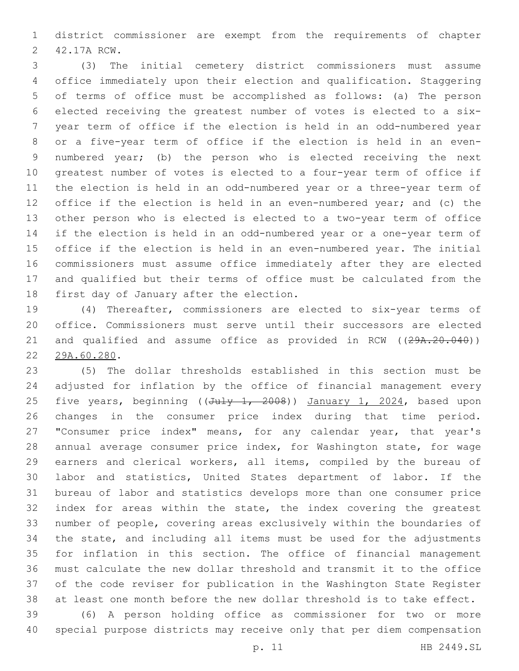district commissioner are exempt from the requirements of chapter 2 42.17A RCW.

 (3) The initial cemetery district commissioners must assume office immediately upon their election and qualification. Staggering of terms of office must be accomplished as follows: (a) The person elected receiving the greatest number of votes is elected to a six- year term of office if the election is held in an odd-numbered year or a five-year term of office if the election is held in an even- numbered year; (b) the person who is elected receiving the next greatest number of votes is elected to a four-year term of office if the election is held in an odd-numbered year or a three-year term of office if the election is held in an even-numbered year; and (c) the other person who is elected is elected to a two-year term of office if the election is held in an odd-numbered year or a one-year term of office if the election is held in an even-numbered year. The initial commissioners must assume office immediately after they are elected and qualified but their terms of office must be calculated from the 18 first day of January after the election.

 (4) Thereafter, commissioners are elected to six-year terms of office. Commissioners must serve until their successors are elected 21 and qualified and assume office as provided in RCW ((29A.20.040)) 22 29A.60.280.

 (5) The dollar thresholds established in this section must be adjusted for inflation by the office of financial management every 25 five years, beginning ((July 1, 2008)) January 1, 2024, based upon changes in the consumer price index during that time period. "Consumer price index" means, for any calendar year, that year's annual average consumer price index, for Washington state, for wage earners and clerical workers, all items, compiled by the bureau of labor and statistics, United States department of labor. If the bureau of labor and statistics develops more than one consumer price index for areas within the state, the index covering the greatest number of people, covering areas exclusively within the boundaries of the state, and including all items must be used for the adjustments for inflation in this section. The office of financial management must calculate the new dollar threshold and transmit it to the office of the code reviser for publication in the Washington State Register at least one month before the new dollar threshold is to take effect.

 (6) A person holding office as commissioner for two or more special purpose districts may receive only that per diem compensation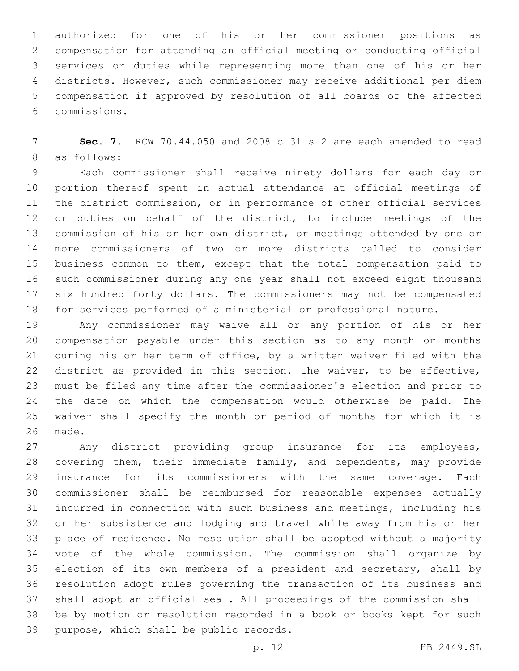authorized for one of his or her commissioner positions as compensation for attending an official meeting or conducting official services or duties while representing more than one of his or her districts. However, such commissioner may receive additional per diem compensation if approved by resolution of all boards of the affected commissions.6

 **Sec. 7.** RCW 70.44.050 and 2008 c 31 s 2 are each amended to read 8 as follows:

 Each commissioner shall receive ninety dollars for each day or portion thereof spent in actual attendance at official meetings of the district commission, or in performance of other official services or duties on behalf of the district, to include meetings of the commission of his or her own district, or meetings attended by one or more commissioners of two or more districts called to consider business common to them, except that the total compensation paid to such commissioner during any one year shall not exceed eight thousand six hundred forty dollars. The commissioners may not be compensated for services performed of a ministerial or professional nature.

 Any commissioner may waive all or any portion of his or her compensation payable under this section as to any month or months during his or her term of office, by a written waiver filed with the district as provided in this section. The waiver, to be effective, must be filed any time after the commissioner's election and prior to the date on which the compensation would otherwise be paid. The waiver shall specify the month or period of months for which it is 26 made.

 Any district providing group insurance for its employees, covering them, their immediate family, and dependents, may provide insurance for its commissioners with the same coverage. Each commissioner shall be reimbursed for reasonable expenses actually incurred in connection with such business and meetings, including his or her subsistence and lodging and travel while away from his or her place of residence. No resolution shall be adopted without a majority vote of the whole commission. The commission shall organize by 35 election of its own members of a president and secretary, shall by resolution adopt rules governing the transaction of its business and shall adopt an official seal. All proceedings of the commission shall be by motion or resolution recorded in a book or books kept for such 39 purpose, which shall be public records.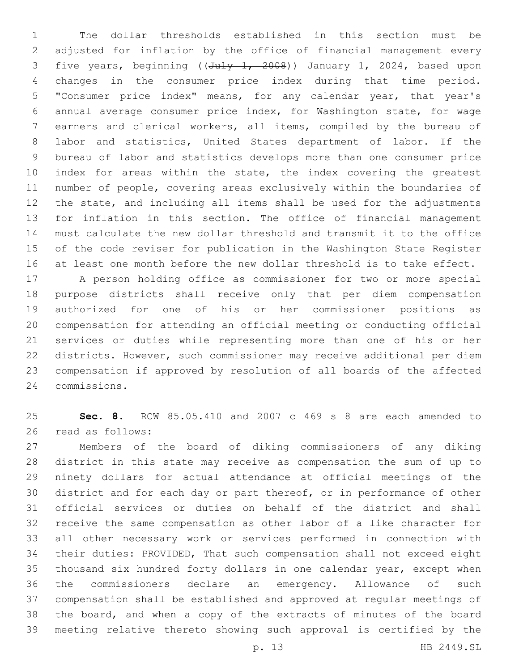The dollar thresholds established in this section must be adjusted for inflation by the office of financial management every 3 five years, beginning ((July 1, 2008)) January 1, 2024, based upon changes in the consumer price index during that time period. "Consumer price index" means, for any calendar year, that year's annual average consumer price index, for Washington state, for wage earners and clerical workers, all items, compiled by the bureau of labor and statistics, United States department of labor. If the bureau of labor and statistics develops more than one consumer price 10 index for areas within the state, the index covering the greatest number of people, covering areas exclusively within the boundaries of the state, and including all items shall be used for the adjustments for inflation in this section. The office of financial management must calculate the new dollar threshold and transmit it to the office of the code reviser for publication in the Washington State Register at least one month before the new dollar threshold is to take effect.

 A person holding office as commissioner for two or more special purpose districts shall receive only that per diem compensation authorized for one of his or her commissioner positions as compensation for attending an official meeting or conducting official services or duties while representing more than one of his or her districts. However, such commissioner may receive additional per diem compensation if approved by resolution of all boards of the affected commissions.24

 **Sec. 8.** RCW 85.05.410 and 2007 c 469 s 8 are each amended to 26 read as follows:

 Members of the board of diking commissioners of any diking district in this state may receive as compensation the sum of up to ninety dollars for actual attendance at official meetings of the district and for each day or part thereof, or in performance of other official services or duties on behalf of the district and shall receive the same compensation as other labor of a like character for all other necessary work or services performed in connection with their duties: PROVIDED, That such compensation shall not exceed eight thousand six hundred forty dollars in one calendar year, except when the commissioners declare an emergency. Allowance of such compensation shall be established and approved at regular meetings of the board, and when a copy of the extracts of minutes of the board meeting relative thereto showing such approval is certified by the

p. 13 HB 2449.SL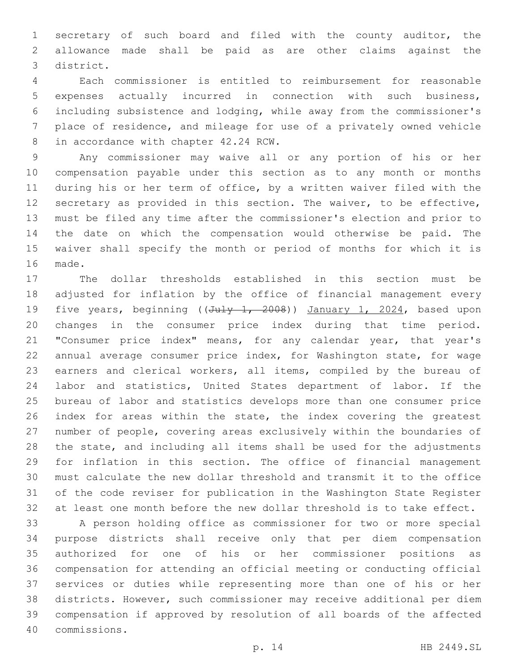secretary of such board and filed with the county auditor, the allowance made shall be paid as are other claims against the district.3

 Each commissioner is entitled to reimbursement for reasonable expenses actually incurred in connection with such business, including subsistence and lodging, while away from the commissioner's place of residence, and mileage for use of a privately owned vehicle 8 in accordance with chapter 42.24 RCW.

 Any commissioner may waive all or any portion of his or her compensation payable under this section as to any month or months during his or her term of office, by a written waiver filed with the secretary as provided in this section. The waiver, to be effective, must be filed any time after the commissioner's election and prior to the date on which the compensation would otherwise be paid. The waiver shall specify the month or period of months for which it is 16 made.

 The dollar thresholds established in this section must be adjusted for inflation by the office of financial management every 19 five years, beginning ((July 1, 2008)) January 1, 2024, based upon changes in the consumer price index during that time period. "Consumer price index" means, for any calendar year, that year's annual average consumer price index, for Washington state, for wage earners and clerical workers, all items, compiled by the bureau of labor and statistics, United States department of labor. If the bureau of labor and statistics develops more than one consumer price index for areas within the state, the index covering the greatest number of people, covering areas exclusively within the boundaries of the state, and including all items shall be used for the adjustments for inflation in this section. The office of financial management must calculate the new dollar threshold and transmit it to the office of the code reviser for publication in the Washington State Register at least one month before the new dollar threshold is to take effect.

 A person holding office as commissioner for two or more special purpose districts shall receive only that per diem compensation authorized for one of his or her commissioner positions as compensation for attending an official meeting or conducting official services or duties while representing more than one of his or her districts. However, such commissioner may receive additional per diem compensation if approved by resolution of all boards of the affected commissions.40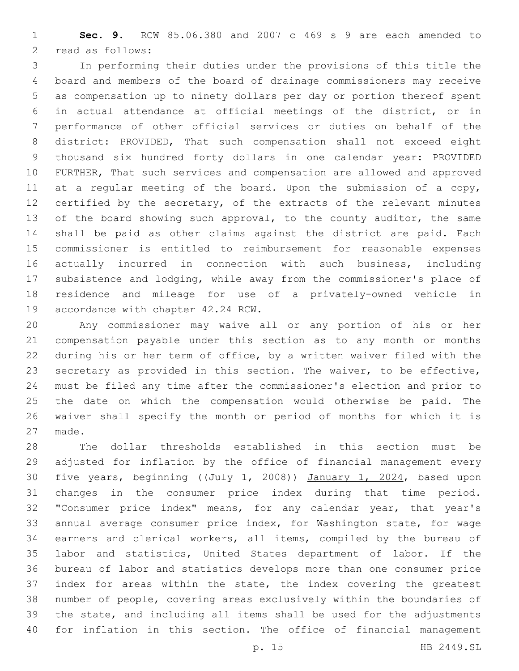**Sec. 9.** RCW 85.06.380 and 2007 c 469 s 9 are each amended to 2 read as follows:

 In performing their duties under the provisions of this title the board and members of the board of drainage commissioners may receive as compensation up to ninety dollars per day or portion thereof spent in actual attendance at official meetings of the district, or in performance of other official services or duties on behalf of the district: PROVIDED, That such compensation shall not exceed eight thousand six hundred forty dollars in one calendar year: PROVIDED FURTHER, That such services and compensation are allowed and approved 11 at a regular meeting of the board. Upon the submission of a copy, certified by the secretary, of the extracts of the relevant minutes 13 of the board showing such approval, to the county auditor, the same shall be paid as other claims against the district are paid. Each commissioner is entitled to reimbursement for reasonable expenses actually incurred in connection with such business, including subsistence and lodging, while away from the commissioner's place of residence and mileage for use of a privately-owned vehicle in 19 accordance with chapter 42.24 RCW.

 Any commissioner may waive all or any portion of his or her compensation payable under this section as to any month or months during his or her term of office, by a written waiver filed with the secretary as provided in this section. The waiver, to be effective, must be filed any time after the commissioner's election and prior to the date on which the compensation would otherwise be paid. The waiver shall specify the month or period of months for which it is 27 made.

 The dollar thresholds established in this section must be adjusted for inflation by the office of financial management every 30 five years, beginning ((July 1, 2008)) January 1, 2024, based upon changes in the consumer price index during that time period. "Consumer price index" means, for any calendar year, that year's annual average consumer price index, for Washington state, for wage earners and clerical workers, all items, compiled by the bureau of labor and statistics, United States department of labor. If the bureau of labor and statistics develops more than one consumer price index for areas within the state, the index covering the greatest number of people, covering areas exclusively within the boundaries of the state, and including all items shall be used for the adjustments for inflation in this section. The office of financial management

p. 15 HB 2449.SL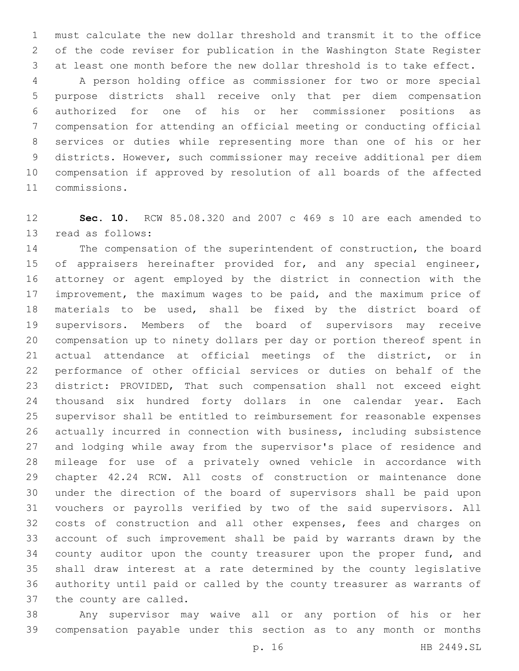must calculate the new dollar threshold and transmit it to the office of the code reviser for publication in the Washington State Register at least one month before the new dollar threshold is to take effect.

 A person holding office as commissioner for two or more special purpose districts shall receive only that per diem compensation authorized for one of his or her commissioner positions as compensation for attending an official meeting or conducting official services or duties while representing more than one of his or her districts. However, such commissioner may receive additional per diem compensation if approved by resolution of all boards of the affected commissions.11

 **Sec. 10.** RCW 85.08.320 and 2007 c 469 s 10 are each amended to 13 read as follows:

 The compensation of the superintendent of construction, the board 15 of appraisers hereinafter provided for, and any special engineer, attorney or agent employed by the district in connection with the improvement, the maximum wages to be paid, and the maximum price of materials to be used, shall be fixed by the district board of supervisors. Members of the board of supervisors may receive compensation up to ninety dollars per day or portion thereof spent in actual attendance at official meetings of the district, or in performance of other official services or duties on behalf of the district: PROVIDED, That such compensation shall not exceed eight thousand six hundred forty dollars in one calendar year. Each supervisor shall be entitled to reimbursement for reasonable expenses actually incurred in connection with business, including subsistence and lodging while away from the supervisor's place of residence and mileage for use of a privately owned vehicle in accordance with chapter 42.24 RCW. All costs of construction or maintenance done under the direction of the board of supervisors shall be paid upon vouchers or payrolls verified by two of the said supervisors. All 32 costs of construction and all other expenses, fees and charges on account of such improvement shall be paid by warrants drawn by the 34 county auditor upon the county treasurer upon the proper fund, and shall draw interest at a rate determined by the county legislative authority until paid or called by the county treasurer as warrants of 37 the county are called.

 Any supervisor may waive all or any portion of his or her compensation payable under this section as to any month or months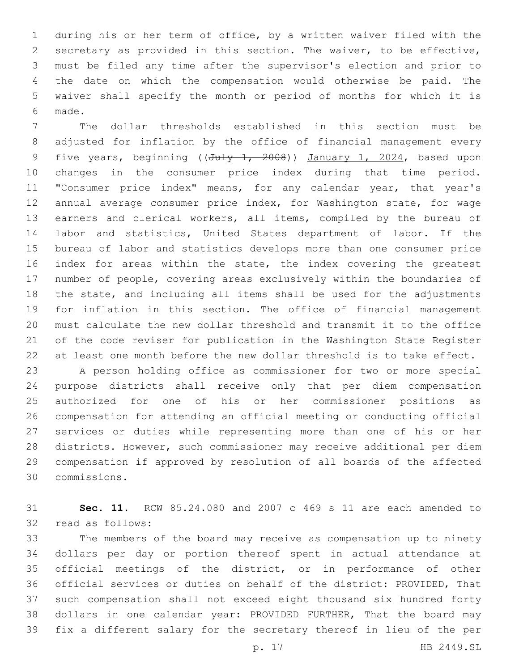during his or her term of office, by a written waiver filed with the secretary as provided in this section. The waiver, to be effective, must be filed any time after the supervisor's election and prior to the date on which the compensation would otherwise be paid. The waiver shall specify the month or period of months for which it is made.6

 The dollar thresholds established in this section must be adjusted for inflation by the office of financial management every 9 five years, beginning ((July 1, 2008)) January 1, 2024, based upon changes in the consumer price index during that time period. "Consumer price index" means, for any calendar year, that year's annual average consumer price index, for Washington state, for wage earners and clerical workers, all items, compiled by the bureau of labor and statistics, United States department of labor. If the bureau of labor and statistics develops more than one consumer price 16 index for areas within the state, the index covering the greatest number of people, covering areas exclusively within the boundaries of the state, and including all items shall be used for the adjustments for inflation in this section. The office of financial management must calculate the new dollar threshold and transmit it to the office of the code reviser for publication in the Washington State Register at least one month before the new dollar threshold is to take effect.

 A person holding office as commissioner for two or more special purpose districts shall receive only that per diem compensation authorized for one of his or her commissioner positions as compensation for attending an official meeting or conducting official services or duties while representing more than one of his or her districts. However, such commissioner may receive additional per diem compensation if approved by resolution of all boards of the affected commissions.30

 **Sec. 11.** RCW 85.24.080 and 2007 c 469 s 11 are each amended to 32 read as follows:

 The members of the board may receive as compensation up to ninety dollars per day or portion thereof spent in actual attendance at official meetings of the district, or in performance of other official services or duties on behalf of the district: PROVIDED, That such compensation shall not exceed eight thousand six hundred forty dollars in one calendar year: PROVIDED FURTHER, That the board may fix a different salary for the secretary thereof in lieu of the per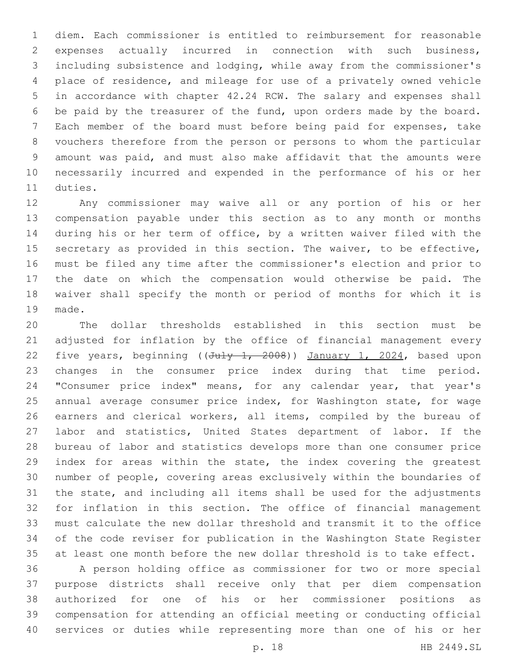diem. Each commissioner is entitled to reimbursement for reasonable expenses actually incurred in connection with such business, including subsistence and lodging, while away from the commissioner's place of residence, and mileage for use of a privately owned vehicle in accordance with chapter 42.24 RCW. The salary and expenses shall be paid by the treasurer of the fund, upon orders made by the board. Each member of the board must before being paid for expenses, take vouchers therefore from the person or persons to whom the particular amount was paid, and must also make affidavit that the amounts were necessarily incurred and expended in the performance of his or her 11 duties.

 Any commissioner may waive all or any portion of his or her compensation payable under this section as to any month or months during his or her term of office, by a written waiver filed with the 15 secretary as provided in this section. The waiver, to be effective, must be filed any time after the commissioner's election and prior to the date on which the compensation would otherwise be paid. The waiver shall specify the month or period of months for which it is 19 made.

 The dollar thresholds established in this section must be adjusted for inflation by the office of financial management every 22 five years, beginning ((July 1, 2008)) January 1, 2024, based upon changes in the consumer price index during that time period. "Consumer price index" means, for any calendar year, that year's annual average consumer price index, for Washington state, for wage earners and clerical workers, all items, compiled by the bureau of labor and statistics, United States department of labor. If the bureau of labor and statistics develops more than one consumer price index for areas within the state, the index covering the greatest number of people, covering areas exclusively within the boundaries of the state, and including all items shall be used for the adjustments for inflation in this section. The office of financial management must calculate the new dollar threshold and transmit it to the office of the code reviser for publication in the Washington State Register at least one month before the new dollar threshold is to take effect.

 A person holding office as commissioner for two or more special purpose districts shall receive only that per diem compensation authorized for one of his or her commissioner positions as compensation for attending an official meeting or conducting official services or duties while representing more than one of his or her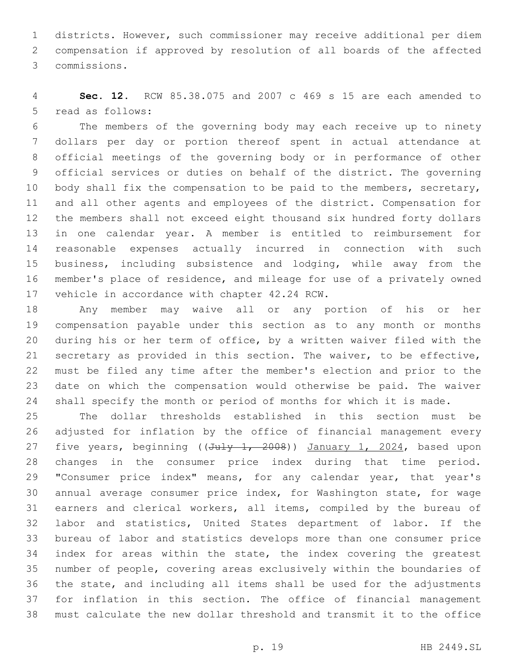districts. However, such commissioner may receive additional per diem compensation if approved by resolution of all boards of the affected commissions.3

 **Sec. 12.** RCW 85.38.075 and 2007 c 469 s 15 are each amended to 5 read as follows:

 The members of the governing body may each receive up to ninety dollars per day or portion thereof spent in actual attendance at official meetings of the governing body or in performance of other official services or duties on behalf of the district. The governing 10 body shall fix the compensation to be paid to the members, secretary, and all other agents and employees of the district. Compensation for the members shall not exceed eight thousand six hundred forty dollars in one calendar year. A member is entitled to reimbursement for reasonable expenses actually incurred in connection with such business, including subsistence and lodging, while away from the member's place of residence, and mileage for use of a privately owned 17 vehicle in accordance with chapter 42.24 RCW.

 Any member may waive all or any portion of his or her compensation payable under this section as to any month or months during his or her term of office, by a written waiver filed with the secretary as provided in this section. The waiver, to be effective, must be filed any time after the member's election and prior to the date on which the compensation would otherwise be paid. The waiver 24 shall specify the month or period of months for which it is made.

 The dollar thresholds established in this section must be adjusted for inflation by the office of financial management every 27 five years, beginning ((July 1, 2008)) January 1, 2024, based upon changes in the consumer price index during that time period. 29 "Consumer price index" means, for any calendar year, that year's annual average consumer price index, for Washington state, for wage earners and clerical workers, all items, compiled by the bureau of labor and statistics, United States department of labor. If the bureau of labor and statistics develops more than one consumer price index for areas within the state, the index covering the greatest number of people, covering areas exclusively within the boundaries of the state, and including all items shall be used for the adjustments for inflation in this section. The office of financial management must calculate the new dollar threshold and transmit it to the office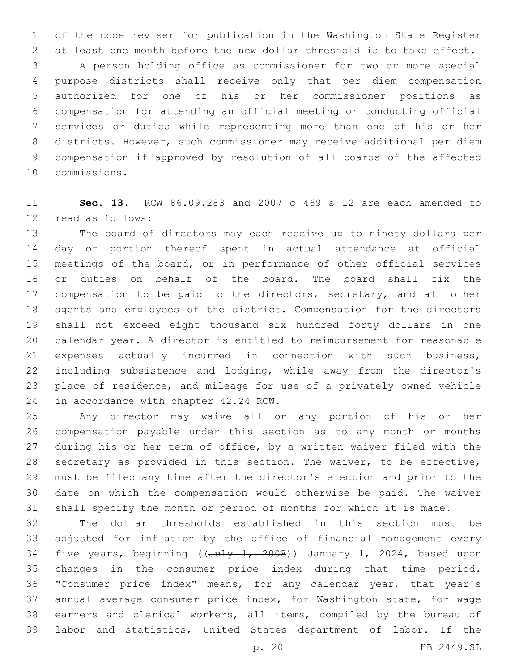of the code reviser for publication in the Washington State Register at least one month before the new dollar threshold is to take effect.

 A person holding office as commissioner for two or more special purpose districts shall receive only that per diem compensation authorized for one of his or her commissioner positions as compensation for attending an official meeting or conducting official services or duties while representing more than one of his or her districts. However, such commissioner may receive additional per diem compensation if approved by resolution of all boards of the affected 10 commissions.

 **Sec. 13.** RCW 86.09.283 and 2007 c 469 s 12 are each amended to 12 read as follows:

 The board of directors may each receive up to ninety dollars per day or portion thereof spent in actual attendance at official meetings of the board, or in performance of other official services or duties on behalf of the board. The board shall fix the 17 compensation to be paid to the directors, secretary, and all other agents and employees of the district. Compensation for the directors shall not exceed eight thousand six hundred forty dollars in one calendar year. A director is entitled to reimbursement for reasonable expenses actually incurred in connection with such business, including subsistence and lodging, while away from the director's place of residence, and mileage for use of a privately owned vehicle 24 in accordance with chapter 42.24 RCW.

 Any director may waive all or any portion of his or her compensation payable under this section as to any month or months during his or her term of office, by a written waiver filed with the secretary as provided in this section. The waiver, to be effective, must be filed any time after the director's election and prior to the date on which the compensation would otherwise be paid. The waiver shall specify the month or period of months for which it is made.

 The dollar thresholds established in this section must be adjusted for inflation by the office of financial management every 34 five years, beginning ((July 1, 2008)) January 1, 2024, based upon changes in the consumer price index during that time period. "Consumer price index" means, for any calendar year, that year's annual average consumer price index, for Washington state, for wage earners and clerical workers, all items, compiled by the bureau of labor and statistics, United States department of labor. If the

p. 20 HB 2449.SL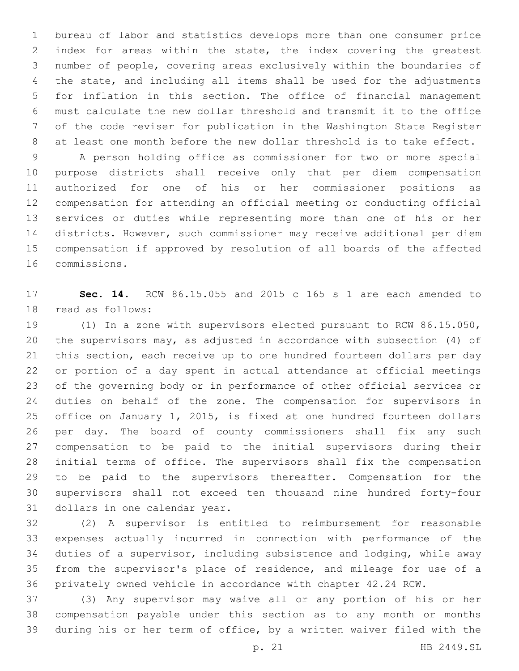bureau of labor and statistics develops more than one consumer price index for areas within the state, the index covering the greatest number of people, covering areas exclusively within the boundaries of the state, and including all items shall be used for the adjustments for inflation in this section. The office of financial management must calculate the new dollar threshold and transmit it to the office of the code reviser for publication in the Washington State Register at least one month before the new dollar threshold is to take effect.

 A person holding office as commissioner for two or more special purpose districts shall receive only that per diem compensation authorized for one of his or her commissioner positions as compensation for attending an official meeting or conducting official services or duties while representing more than one of his or her districts. However, such commissioner may receive additional per diem compensation if approved by resolution of all boards of the affected 16 commissions.

 **Sec. 14.** RCW 86.15.055 and 2015 c 165 s 1 are each amended to 18 read as follows:

 (1) In a zone with supervisors elected pursuant to RCW 86.15.050, the supervisors may, as adjusted in accordance with subsection (4) of this section, each receive up to one hundred fourteen dollars per day or portion of a day spent in actual attendance at official meetings of the governing body or in performance of other official services or duties on behalf of the zone. The compensation for supervisors in office on January 1, 2015, is fixed at one hundred fourteen dollars per day. The board of county commissioners shall fix any such compensation to be paid to the initial supervisors during their initial terms of office. The supervisors shall fix the compensation to be paid to the supervisors thereafter. Compensation for the supervisors shall not exceed ten thousand nine hundred forty-four 31 dollars in one calendar year.

 (2) A supervisor is entitled to reimbursement for reasonable expenses actually incurred in connection with performance of the duties of a supervisor, including subsistence and lodging, while away from the supervisor's place of residence, and mileage for use of a privately owned vehicle in accordance with chapter 42.24 RCW.

 (3) Any supervisor may waive all or any portion of his or her compensation payable under this section as to any month or months during his or her term of office, by a written waiver filed with the

p. 21 HB 2449.SL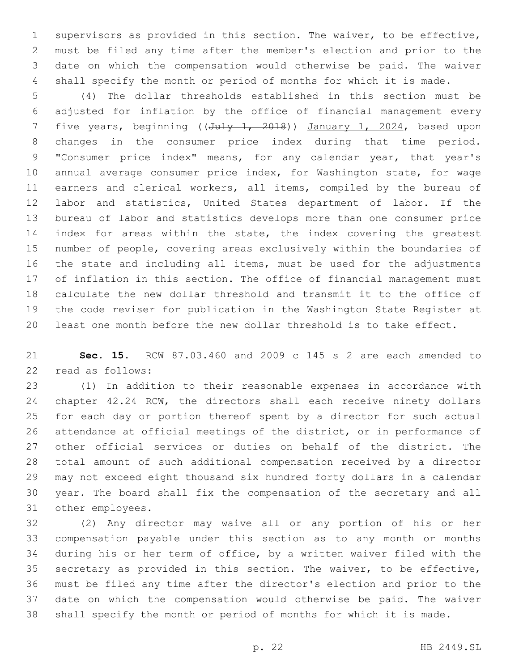supervisors as provided in this section. The waiver, to be effective, must be filed any time after the member's election and prior to the date on which the compensation would otherwise be paid. The waiver shall specify the month or period of months for which it is made.

 (4) The dollar thresholds established in this section must be adjusted for inflation by the office of financial management every 7 five years, beginning ((July 1, 2018)) January 1, 2024, based upon changes in the consumer price index during that time period. "Consumer price index" means, for any calendar year, that year's annual average consumer price index, for Washington state, for wage 11 earners and clerical workers, all items, compiled by the bureau of labor and statistics, United States department of labor. If the bureau of labor and statistics develops more than one consumer price 14 index for areas within the state, the index covering the greatest number of people, covering areas exclusively within the boundaries of the state and including all items, must be used for the adjustments of inflation in this section. The office of financial management must calculate the new dollar threshold and transmit it to the office of the code reviser for publication in the Washington State Register at least one month before the new dollar threshold is to take effect.

 **Sec. 15.** RCW 87.03.460 and 2009 c 145 s 2 are each amended to 22 read as follows:

 (1) In addition to their reasonable expenses in accordance with 24 chapter 42.24 RCW, the directors shall each receive ninety dollars for each day or portion thereof spent by a director for such actual attendance at official meetings of the district, or in performance of other official services or duties on behalf of the district. The total amount of such additional compensation received by a director may not exceed eight thousand six hundred forty dollars in a calendar year. The board shall fix the compensation of the secretary and all 31 other employees.

 (2) Any director may waive all or any portion of his or her compensation payable under this section as to any month or months during his or her term of office, by a written waiver filed with the secretary as provided in this section. The waiver, to be effective, must be filed any time after the director's election and prior to the date on which the compensation would otherwise be paid. The waiver shall specify the month or period of months for which it is made.